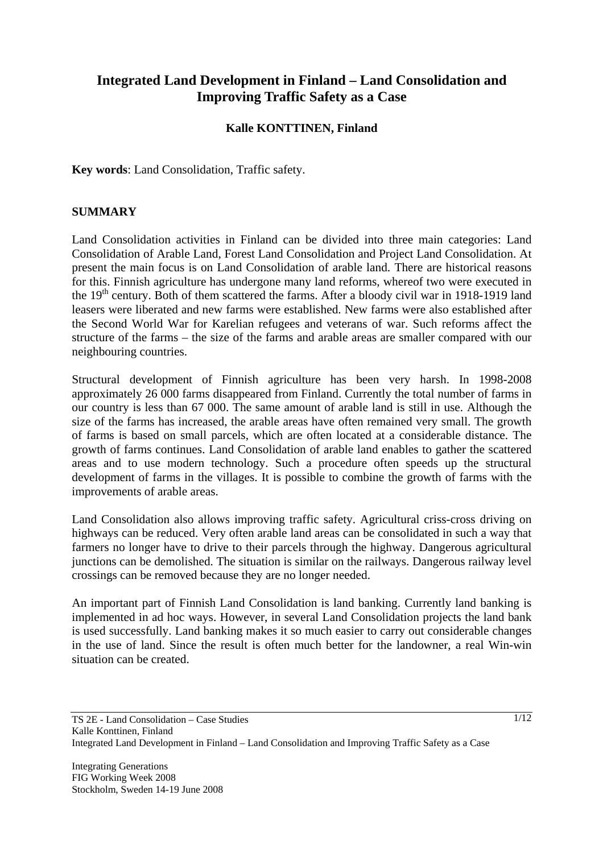# **Integrated Land Development in Finland – Land Consolidation and Improving Traffic Safety as a Case**

#### **Kalle KONTTINEN, Finland**

**Key words**: Land Consolidation, Traffic safety.

#### **SUMMARY**

Land Consolidation activities in Finland can be divided into three main categories: Land Consolidation of Arable Land, Forest Land Consolidation and Project Land Consolidation. At present the main focus is on Land Consolidation of arable land. There are historical reasons for this. Finnish agriculture has undergone many land reforms, whereof two were executed in the 19<sup>th</sup> century. Both of them scattered the farms. After a bloody civil war in 1918-1919 land leasers were liberated and new farms were established. New farms were also established after the Second World War for Karelian refugees and veterans of war. Such reforms affect the structure of the farms – the size of the farms and arable areas are smaller compared with our neighbouring countries.

Structural development of Finnish agriculture has been very harsh. In 1998-2008 approximately 26 000 farms disappeared from Finland. Currently the total number of farms in our country is less than 67 000. The same amount of arable land is still in use. Although the size of the farms has increased, the arable areas have often remained very small. The growth of farms is based on small parcels, which are often located at a considerable distance. The growth of farms continues. Land Consolidation of arable land enables to gather the scattered areas and to use modern technology. Such a procedure often speeds up the structural development of farms in the villages. It is possible to combine the growth of farms with the improvements of arable areas.

Land Consolidation also allows improving traffic safety. Agricultural criss-cross driving on highways can be reduced. Very often arable land areas can be consolidated in such a way that farmers no longer have to drive to their parcels through the highway. Dangerous agricultural junctions can be demolished. The situation is similar on the railways. Dangerous railway level crossings can be removed because they are no longer needed.

An important part of Finnish Land Consolidation is land banking. Currently land banking is implemented in ad hoc ways. However, in several Land Consolidation projects the land bank is used successfully. Land banking makes it so much easier to carry out considerable changes in the use of land. Since the result is often much better for the landowner, a real Win-win situation can be created.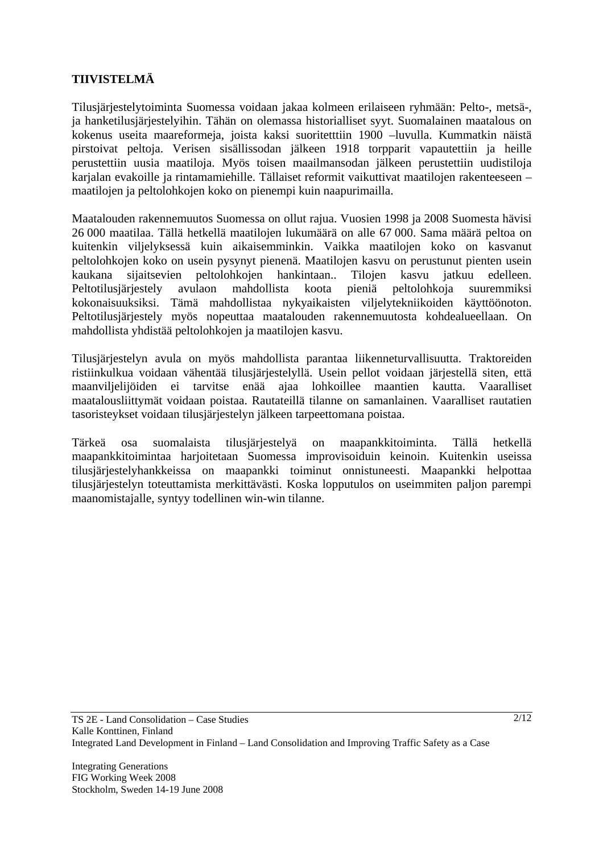## **TIIVISTELMÄ**

Tilusjärjestelytoiminta Suomessa voidaan jakaa kolmeen erilaiseen ryhmään: Pelto-, metsä-, ja hanketilusjärjestelyihin. Tähän on olemassa historialliset syyt. Suomalainen maatalous on kokenus useita maareformeja, joista kaksi suoritetttiin 1900 –luvulla. Kummatkin näistä pirstoivat peltoja. Verisen sisällissodan jälkeen 1918 torpparit vapautettiin ja heille perustettiin uusia maatiloja. Myös toisen maailmansodan jälkeen perustettiin uudistiloja karjalan evakoille ja rintamamiehille. Tällaiset reformit vaikuttivat maatilojen rakenteeseen – maatilojen ja peltolohkojen koko on pienempi kuin naapurimailla.

Maatalouden rakennemuutos Suomessa on ollut rajua. Vuosien 1998 ja 2008 Suomesta hävisi 26 000 maatilaa. Tällä hetkellä maatilojen lukumäärä on alle 67 000. Sama määrä peltoa on kuitenkin viljelyksessä kuin aikaisemminkin. Vaikka maatilojen koko on kasvanut peltolohkojen koko on usein pysynyt pienenä. Maatilojen kasvu on perustunut pienten usein kaukana sijaitsevien peltolohkojen hankintaan.. Tilojen kasvu jatkuu edelleen. Peltotilusjärjestely avulaon mahdollista koota pieniä peltolohkoja suuremmiksi kokonaisuuksiksi. Tämä mahdollistaa nykyaikaisten viljelytekniikoiden käyttöönoton. Peltotilusjärjestely myös nopeuttaa maatalouden rakennemuutosta kohdealueellaan. On mahdollista yhdistää peltolohkojen ja maatilojen kasvu.

Tilusjärjestelyn avula on myös mahdollista parantaa liikenneturvallisuutta. Traktoreiden ristiinkulkua voidaan vähentää tilusjärjestelyllä. Usein pellot voidaan järjestellä siten, että maanviljelijöiden ei tarvitse enää ajaa lohkoillee maantien kautta. Vaaralliset maatalousliittymät voidaan poistaa. Rautateillä tilanne on samanlainen. Vaaralliset rautatien tasoristeykset voidaan tilusjärjestelyn jälkeen tarpeettomana poistaa.

Tärkeä osa suomalaista tilusjärjestelyä on maapankkitoiminta. Tällä hetkellä maapankkitoimintaa harjoitetaan Suomessa improvisoiduin keinoin. Kuitenkin useissa tilusjärjestelyhankkeissa on maapankki toiminut onnistuneesti. Maapankki helpottaa tilusjärjestelyn toteuttamista merkittävästi. Koska lopputulos on useimmiten paljon parempi maanomistajalle, syntyy todellinen win-win tilanne.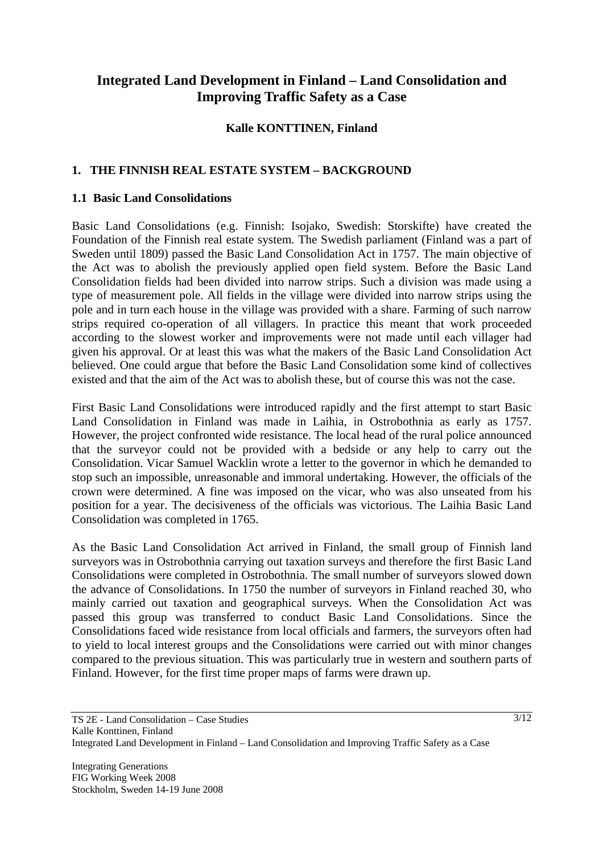# **Integrated Land Development in Finland – Land Consolidation and Improving Traffic Safety as a Case**

#### **Kalle KONTTINEN, Finland**

## **1. THE FINNISH REAL ESTATE SYSTEM – BACKGROUND**

#### **1.1 Basic Land Consolidations**

Basic Land Consolidations (e.g. Finnish: Isojako, Swedish: Storskifte) have created the Foundation of the Finnish real estate system. The Swedish parliament (Finland was a part of Sweden until 1809) passed the Basic Land Consolidation Act in 1757. The main objective of the Act was to abolish the previously applied open field system. Before the Basic Land Consolidation fields had been divided into narrow strips. Such a division was made using a type of measurement pole. All fields in the village were divided into narrow strips using the pole and in turn each house in the village was provided with a share. Farming of such narrow strips required co-operation of all villagers. In practice this meant that work proceeded according to the slowest worker and improvements were not made until each villager had given his approval. Or at least this was what the makers of the Basic Land Consolidation Act believed. One could argue that before the Basic Land Consolidation some kind of collectives existed and that the aim of the Act was to abolish these, but of course this was not the case.

First Basic Land Consolidations were introduced rapidly and the first attempt to start Basic Land Consolidation in Finland was made in Laihia, in Ostrobothnia as early as 1757. However, the project confronted wide resistance. The local head of the rural police announced that the surveyor could not be provided with a bedside or any help to carry out the Consolidation. Vicar Samuel Wacklin wrote a letter to the governor in which he demanded to stop such an impossible, unreasonable and immoral undertaking. However, the officials of the crown were determined. A fine was imposed on the vicar, who was also unseated from his position for a year. The decisiveness of the officials was victorious. The Laihia Basic Land Consolidation was completed in 1765.

As the Basic Land Consolidation Act arrived in Finland, the small group of Finnish land surveyors was in Ostrobothnia carrying out taxation surveys and therefore the first Basic Land Consolidations were completed in Ostrobothnia. The small number of surveyors slowed down the advance of Consolidations. In 1750 the number of surveyors in Finland reached 30, who mainly carried out taxation and geographical surveys. When the Consolidation Act was passed this group was transferred to conduct Basic Land Consolidations. Since the Consolidations faced wide resistance from local officials and farmers, the surveyors often had to yield to local interest groups and the Consolidations were carried out with minor changes compared to the previous situation. This was particularly true in western and southern parts of Finland. However, for the first time proper maps of farms were drawn up.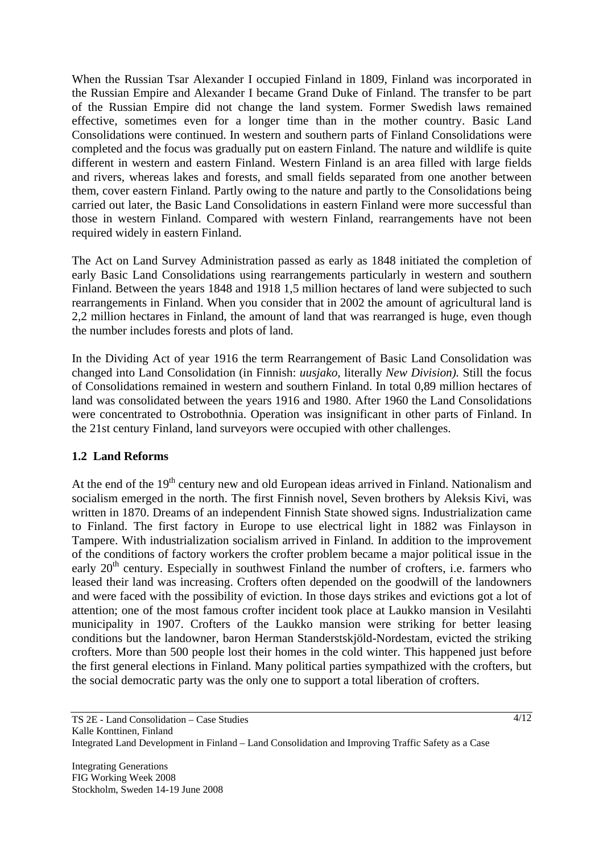When the Russian Tsar Alexander I occupied Finland in 1809, Finland was incorporated in the Russian Empire and Alexander I became Grand Duke of Finland. The transfer to be part of the Russian Empire did not change the land system. Former Swedish laws remained effective, sometimes even for a longer time than in the mother country. Basic Land Consolidations were continued. In western and southern parts of Finland Consolidations were completed and the focus was gradually put on eastern Finland. The nature and wildlife is quite different in western and eastern Finland. Western Finland is an area filled with large fields and rivers, whereas lakes and forests, and small fields separated from one another between them, cover eastern Finland. Partly owing to the nature and partly to the Consolidations being carried out later, the Basic Land Consolidations in eastern Finland were more successful than those in western Finland. Compared with western Finland, rearrangements have not been required widely in eastern Finland.

The Act on Land Survey Administration passed as early as 1848 initiated the completion of early Basic Land Consolidations using rearrangements particularly in western and southern Finland. Between the years 1848 and 1918 1,5 million hectares of land were subjected to such rearrangements in Finland. When you consider that in 2002 the amount of agricultural land is 2,2 million hectares in Finland, the amount of land that was rearranged is huge, even though the number includes forests and plots of land.

In the Dividing Act of year 1916 the term Rearrangement of Basic Land Consolidation was changed into Land Consolidation (in Finnish: *uusjako,* literally *New Division).* Still the focus of Consolidations remained in western and southern Finland. In total 0,89 million hectares of land was consolidated between the years 1916 and 1980. After 1960 the Land Consolidations were concentrated to Ostrobothnia. Operation was insignificant in other parts of Finland. In the 21st century Finland, land surveyors were occupied with other challenges.

#### **1.2 Land Reforms**

At the end of the 19<sup>th</sup> century new and old European ideas arrived in Finland. Nationalism and socialism emerged in the north. The first Finnish novel, Seven brothers by Aleksis Kivi, was written in 1870. Dreams of an independent Finnish State showed signs. Industrialization came to Finland. The first factory in Europe to use electrical light in 1882 was Finlayson in Tampere. With industrialization socialism arrived in Finland. In addition to the improvement of the conditions of factory workers the crofter problem became a major political issue in the early  $20<sup>th</sup>$  century. Especially in southwest Finland the number of crofters, i.e. farmers who leased their land was increasing. Crofters often depended on the goodwill of the landowners and were faced with the possibility of eviction. In those days strikes and evictions got a lot of attention; one of the most famous crofter incident took place at Laukko mansion in Vesilahti municipality in 1907. Crofters of the Laukko mansion were striking for better leasing conditions but the landowner, baron Herman Standerstskjöld-Nordestam, evicted the striking crofters. More than 500 people lost their homes in the cold winter. This happened just before the first general elections in Finland. Many political parties sympathized with the crofters, but the social democratic party was the only one to support a total liberation of crofters.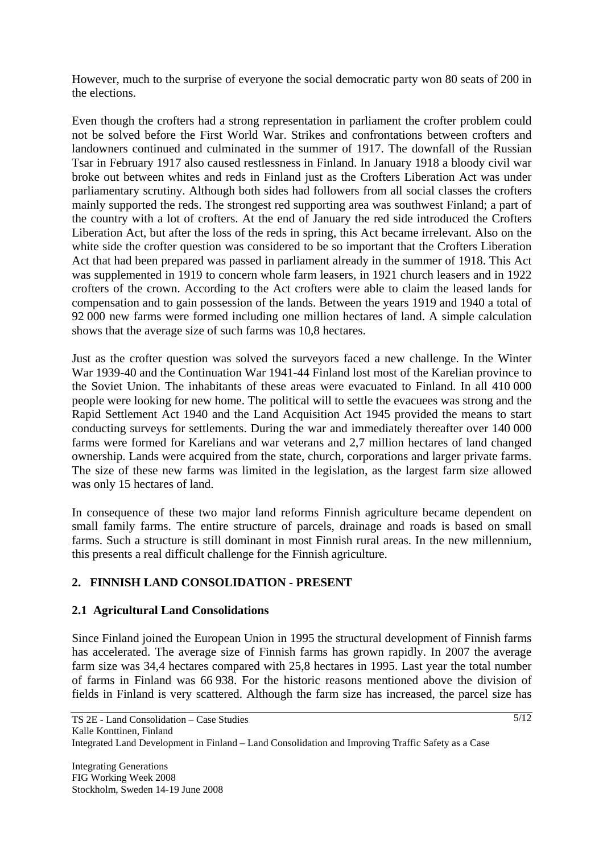However, much to the surprise of everyone the social democratic party won 80 seats of 200 in the elections.

Even though the crofters had a strong representation in parliament the crofter problem could not be solved before the First World War. Strikes and confrontations between crofters and landowners continued and culminated in the summer of 1917. The downfall of the Russian Tsar in February 1917 also caused restlessness in Finland. In January 1918 a bloody civil war broke out between whites and reds in Finland just as the Crofters Liberation Act was under parliamentary scrutiny. Although both sides had followers from all social classes the crofters mainly supported the reds. The strongest red supporting area was southwest Finland; a part of the country with a lot of crofters. At the end of January the red side introduced the Crofters Liberation Act, but after the loss of the reds in spring, this Act became irrelevant. Also on the white side the crofter question was considered to be so important that the Crofters Liberation Act that had been prepared was passed in parliament already in the summer of 1918. This Act was supplemented in 1919 to concern whole farm leasers, in 1921 church leasers and in 1922 crofters of the crown. According to the Act crofters were able to claim the leased lands for compensation and to gain possession of the lands. Between the years 1919 and 1940 a total of 92 000 new farms were formed including one million hectares of land. A simple calculation shows that the average size of such farms was 10,8 hectares.

Just as the crofter question was solved the surveyors faced a new challenge. In the Winter War 1939-40 and the Continuation War 1941-44 Finland lost most of the Karelian province to the Soviet Union. The inhabitants of these areas were evacuated to Finland. In all 410 000 people were looking for new home. The political will to settle the evacuees was strong and the Rapid Settlement Act 1940 and the Land Acquisition Act 1945 provided the means to start conducting surveys for settlements. During the war and immediately thereafter over 140 000 farms were formed for Karelians and war veterans and 2,7 million hectares of land changed ownership. Lands were acquired from the state, church, corporations and larger private farms. The size of these new farms was limited in the legislation, as the largest farm size allowed was only 15 hectares of land.

In consequence of these two major land reforms Finnish agriculture became dependent on small family farms. The entire structure of parcels, drainage and roads is based on small farms. Such a structure is still dominant in most Finnish rural areas. In the new millennium, this presents a real difficult challenge for the Finnish agriculture.

# **2. FINNISH LAND CONSOLIDATION - PRESENT**

#### **2.1 Agricultural Land Consolidations**

Since Finland joined the European Union in 1995 the structural development of Finnish farms has accelerated. The average size of Finnish farms has grown rapidly. In 2007 the average farm size was 34,4 hectares compared with 25,8 hectares in 1995. Last year the total number of farms in Finland was 66 938. For the historic reasons mentioned above the division of fields in Finland is very scattered. Although the farm size has increased, the parcel size has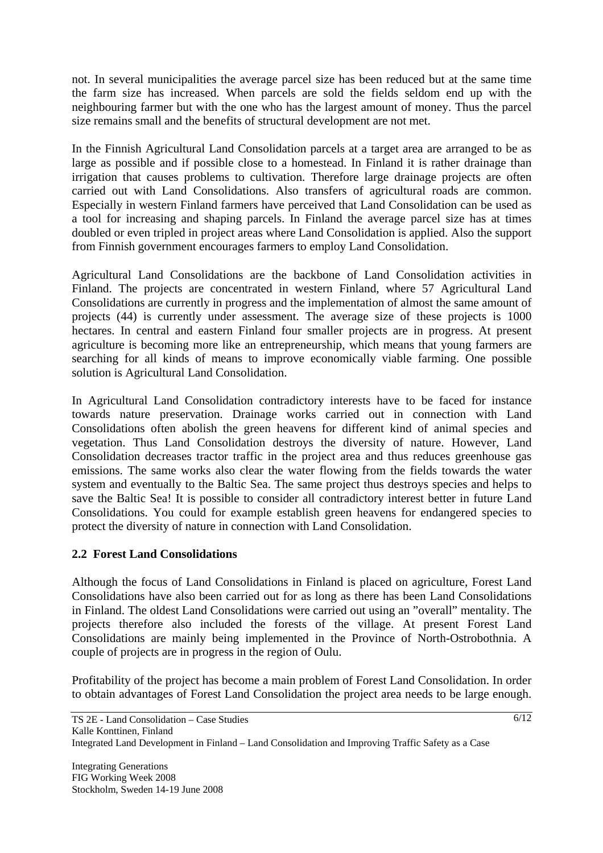not. In several municipalities the average parcel size has been reduced but at the same time the farm size has increased. When parcels are sold the fields seldom end up with the neighbouring farmer but with the one who has the largest amount of money. Thus the parcel size remains small and the benefits of structural development are not met.

In the Finnish Agricultural Land Consolidation parcels at a target area are arranged to be as large as possible and if possible close to a homestead. In Finland it is rather drainage than irrigation that causes problems to cultivation. Therefore large drainage projects are often carried out with Land Consolidations. Also transfers of agricultural roads are common. Especially in western Finland farmers have perceived that Land Consolidation can be used as a tool for increasing and shaping parcels. In Finland the average parcel size has at times doubled or even tripled in project areas where Land Consolidation is applied. Also the support from Finnish government encourages farmers to employ Land Consolidation.

Agricultural Land Consolidations are the backbone of Land Consolidation activities in Finland. The projects are concentrated in western Finland, where 57 Agricultural Land Consolidations are currently in progress and the implementation of almost the same amount of projects (44) is currently under assessment. The average size of these projects is 1000 hectares. In central and eastern Finland four smaller projects are in progress. At present agriculture is becoming more like an entrepreneurship, which means that young farmers are searching for all kinds of means to improve economically viable farming. One possible solution is Agricultural Land Consolidation.

In Agricultural Land Consolidation contradictory interests have to be faced for instance towards nature preservation. Drainage works carried out in connection with Land Consolidations often abolish the green heavens for different kind of animal species and vegetation. Thus Land Consolidation destroys the diversity of nature. However, Land Consolidation decreases tractor traffic in the project area and thus reduces greenhouse gas emissions. The same works also clear the water flowing from the fields towards the water system and eventually to the Baltic Sea. The same project thus destroys species and helps to save the Baltic Sea! It is possible to consider all contradictory interest better in future Land Consolidations. You could for example establish green heavens for endangered species to protect the diversity of nature in connection with Land Consolidation.

# **2.2 Forest Land Consolidations**

Although the focus of Land Consolidations in Finland is placed on agriculture, Forest Land Consolidations have also been carried out for as long as there has been Land Consolidations in Finland. The oldest Land Consolidations were carried out using an "overall" mentality. The projects therefore also included the forests of the village. At present Forest Land Consolidations are mainly being implemented in the Province of North-Ostrobothnia. A couple of projects are in progress in the region of Oulu.

Profitability of the project has become a main problem of Forest Land Consolidation. In order to obtain advantages of Forest Land Consolidation the project area needs to be large enough.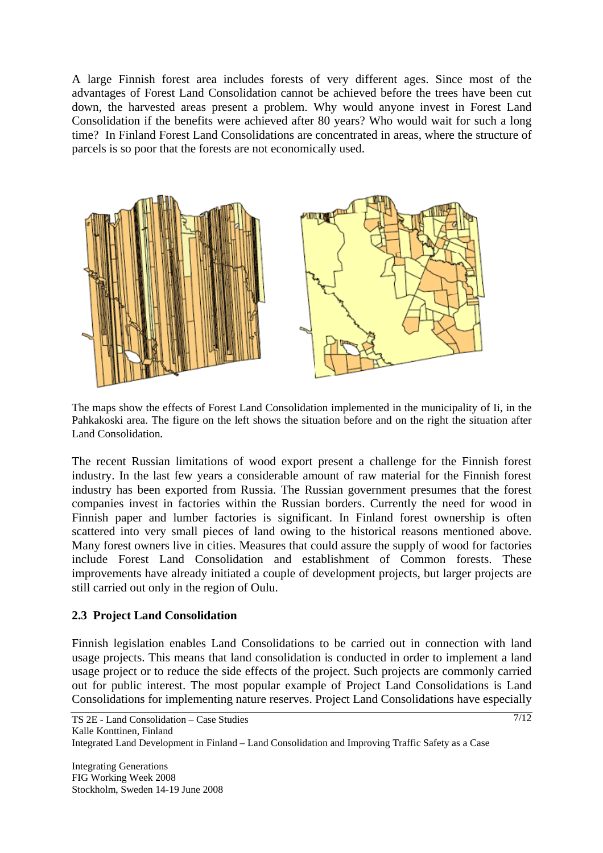A large Finnish forest area includes forests of very different ages. Since most of the advantages of Forest Land Consolidation cannot be achieved before the trees have been cut down, the harvested areas present a problem. Why would anyone invest in Forest Land Consolidation if the benefits were achieved after 80 years? Who would wait for such a long time? In Finland Forest Land Consolidations are concentrated in areas, where the structure of parcels is so poor that the forests are not economically used.



The maps show the effects of Forest Land Consolidation implemented in the municipality of Ii, in the Pahkakoski area. The figure on the left shows the situation before and on the right the situation after Land Consolidation*.* 

The recent Russian limitations of wood export present a challenge for the Finnish forest industry. In the last few years a considerable amount of raw material for the Finnish forest industry has been exported from Russia. The Russian government presumes that the forest companies invest in factories within the Russian borders. Currently the need for wood in Finnish paper and lumber factories is significant. In Finland forest ownership is often scattered into very small pieces of land owing to the historical reasons mentioned above. Many forest owners live in cities. Measures that could assure the supply of wood for factories include Forest Land Consolidation and establishment of Common forests. These improvements have already initiated a couple of development projects, but larger projects are still carried out only in the region of Oulu.

#### **2.3 Project Land Consolidation**

Finnish legislation enables Land Consolidations to be carried out in connection with land usage projects. This means that land consolidation is conducted in order to implement a land usage project or to reduce the side effects of the project. Such projects are commonly carried out for public interest. The most popular example of Project Land Consolidations is Land Consolidations for implementing nature reserves. Project Land Consolidations have especially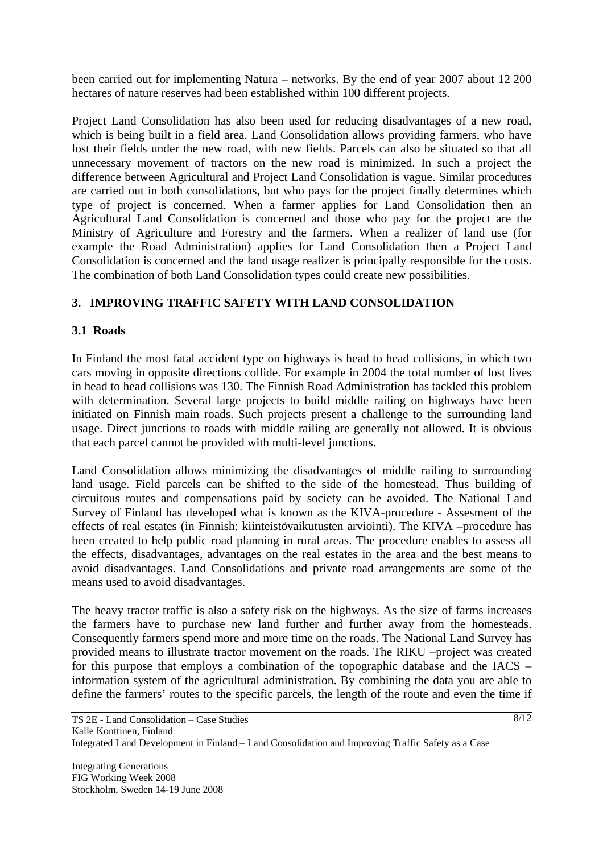been carried out for implementing Natura – networks. By the end of year 2007 about 12 200 hectares of nature reserves had been established within 100 different projects.

Project Land Consolidation has also been used for reducing disadvantages of a new road, which is being built in a field area. Land Consolidation allows providing farmers, who have lost their fields under the new road, with new fields. Parcels can also be situated so that all unnecessary movement of tractors on the new road is minimized. In such a project the difference between Agricultural and Project Land Consolidation is vague. Similar procedures are carried out in both consolidations, but who pays for the project finally determines which type of project is concerned. When a farmer applies for Land Consolidation then an Agricultural Land Consolidation is concerned and those who pay for the project are the Ministry of Agriculture and Forestry and the farmers. When a realizer of land use (for example the Road Administration) applies for Land Consolidation then a Project Land Consolidation is concerned and the land usage realizer is principally responsible for the costs. The combination of both Land Consolidation types could create new possibilities.

## **3. IMPROVING TRAFFIC SAFETY WITH LAND CONSOLIDATION**

## **3.1 Roads**

In Finland the most fatal accident type on highways is head to head collisions, in which two cars moving in opposite directions collide. For example in 2004 the total number of lost lives in head to head collisions was 130. The Finnish Road Administration has tackled this problem with determination. Several large projects to build middle railing on highways have been initiated on Finnish main roads. Such projects present a challenge to the surrounding land usage. Direct junctions to roads with middle railing are generally not allowed. It is obvious that each parcel cannot be provided with multi-level junctions.

Land Consolidation allows minimizing the disadvantages of middle railing to surrounding land usage. Field parcels can be shifted to the side of the homestead. Thus building of circuitous routes and compensations paid by society can be avoided. The National Land Survey of Finland has developed what is known as the KIVA-procedure - Assesment of the effects of real estates (in Finnish: kiinteistövaikutusten arviointi). The KIVA –procedure has been created to help public road planning in rural areas. The procedure enables to assess all the effects, disadvantages, advantages on the real estates in the area and the best means to avoid disadvantages. Land Consolidations and private road arrangements are some of the means used to avoid disadvantages.

The heavy tractor traffic is also a safety risk on the highways. As the size of farms increases the farmers have to purchase new land further and further away from the homesteads. Consequently farmers spend more and more time on the roads. The National Land Survey has provided means to illustrate tractor movement on the roads. The RIKU –project was created for this purpose that employs a combination of the topographic database and the IACS – information system of the agricultural administration. By combining the data you are able to define the farmers' routes to the specific parcels, the length of the route and even the time if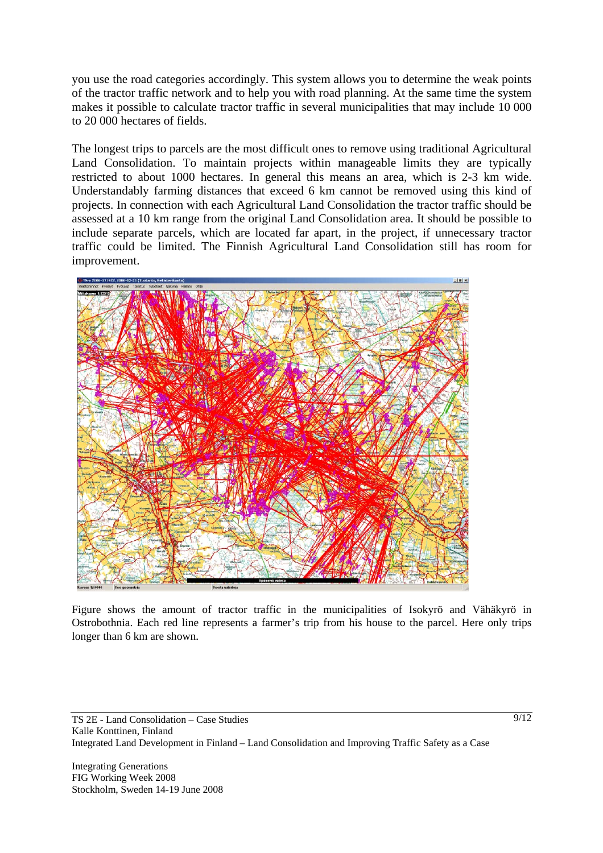you use the road categories accordingly. This system allows you to determine the weak points of the tractor traffic network and to help you with road planning. At the same time the system makes it possible to calculate tractor traffic in several municipalities that may include 10 000 to 20 000 hectares of fields.

The longest trips to parcels are the most difficult ones to remove using traditional Agricultural Land Consolidation. To maintain projects within manageable limits they are typically restricted to about 1000 hectares. In general this means an area, which is 2-3 km wide. Understandably farming distances that exceed 6 km cannot be removed using this kind of projects. In connection with each Agricultural Land Consolidation the tractor traffic should be assessed at a 10 km range from the original Land Consolidation area. It should be possible to include separate parcels, which are located far apart, in the project, if unnecessary tractor traffic could be limited. The Finnish Agricultural Land Consolidation still has room for improvement.



Figure shows the amount of tractor traffic in the municipalities of Isokyrö and Vähäkyrö in Ostrobothnia. Each red line represents a farmer's trip from his house to the parcel. Here only trips longer than 6 km are shown*.*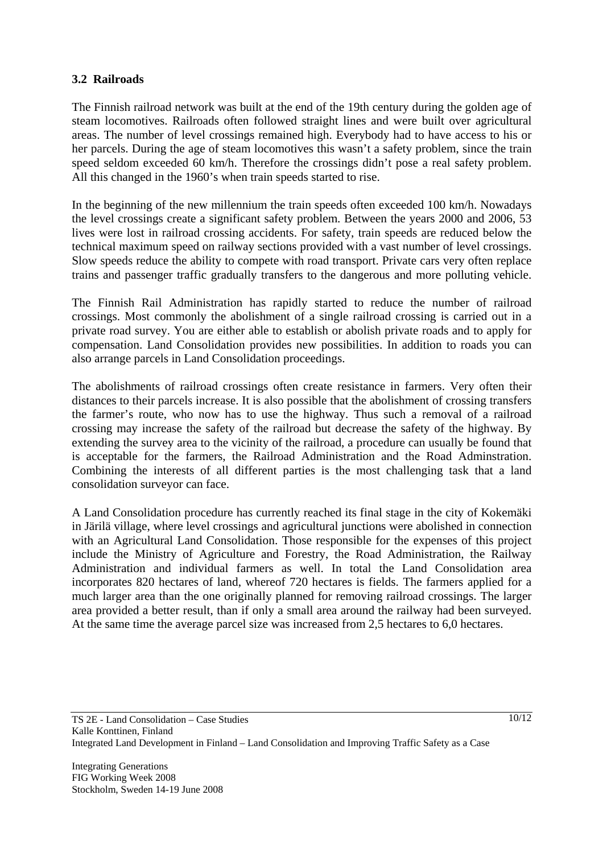#### **3.2 Railroads**

The Finnish railroad network was built at the end of the 19th century during the golden age of steam locomotives. Railroads often followed straight lines and were built over agricultural areas. The number of level crossings remained high. Everybody had to have access to his or her parcels. During the age of steam locomotives this wasn't a safety problem, since the train speed seldom exceeded 60 km/h. Therefore the crossings didn't pose a real safety problem. All this changed in the 1960's when train speeds started to rise.

In the beginning of the new millennium the train speeds often exceeded 100 km/h. Nowadays the level crossings create a significant safety problem. Between the years 2000 and 2006, 53 lives were lost in railroad crossing accidents. For safety, train speeds are reduced below the technical maximum speed on railway sections provided with a vast number of level crossings. Slow speeds reduce the ability to compete with road transport. Private cars very often replace trains and passenger traffic gradually transfers to the dangerous and more polluting vehicle.

The Finnish Rail Administration has rapidly started to reduce the number of railroad crossings. Most commonly the abolishment of a single railroad crossing is carried out in a private road survey. You are either able to establish or abolish private roads and to apply for compensation. Land Consolidation provides new possibilities. In addition to roads you can also arrange parcels in Land Consolidation proceedings.

The abolishments of railroad crossings often create resistance in farmers. Very often their distances to their parcels increase. It is also possible that the abolishment of crossing transfers the farmer's route, who now has to use the highway. Thus such a removal of a railroad crossing may increase the safety of the railroad but decrease the safety of the highway. By extending the survey area to the vicinity of the railroad, a procedure can usually be found that is acceptable for the farmers, the Railroad Administration and the Road Adminstration. Combining the interests of all different parties is the most challenging task that a land consolidation surveyor can face.

A Land Consolidation procedure has currently reached its final stage in the city of Kokemäki in Järilä village, where level crossings and agricultural junctions were abolished in connection with an Agricultural Land Consolidation. Those responsible for the expenses of this project include the Ministry of Agriculture and Forestry, the Road Administration, the Railway Administration and individual farmers as well. In total the Land Consolidation area incorporates 820 hectares of land, whereof 720 hectares is fields. The farmers applied for a much larger area than the one originally planned for removing railroad crossings. The larger area provided a better result, than if only a small area around the railway had been surveyed. At the same time the average parcel size was increased from 2,5 hectares to 6,0 hectares.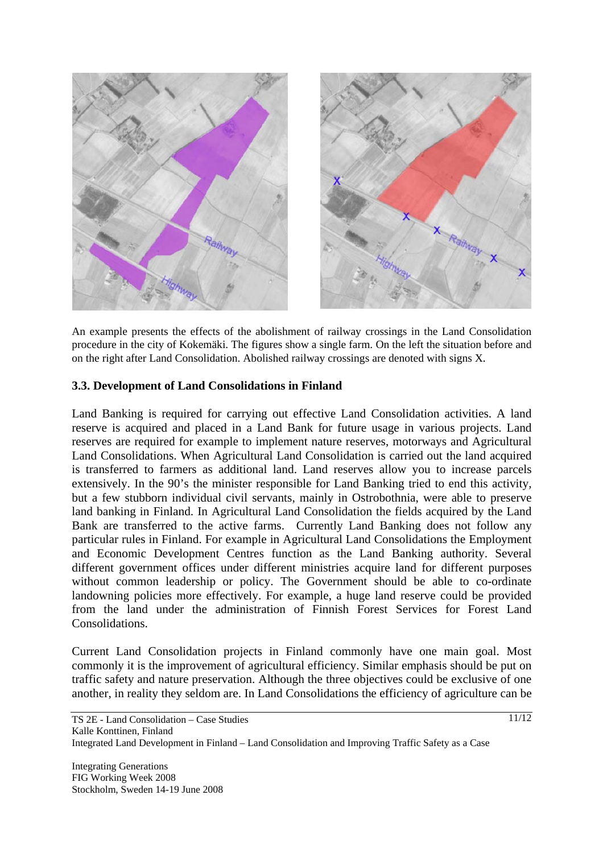

An example presents the effects of the abolishment of railway crossings in the Land Consolidation procedure in the city of Kokemäki. The figures show a single farm. On the left the situation before and on the right after Land Consolidation. Abolished railway crossings are denoted with signs X*.* 

#### **3.3. Development of Land Consolidations in Finland**

Land Banking is required for carrying out effective Land Consolidation activities. A land reserve is acquired and placed in a Land Bank for future usage in various projects. Land reserves are required for example to implement nature reserves, motorways and Agricultural Land Consolidations. When Agricultural Land Consolidation is carried out the land acquired is transferred to farmers as additional land. Land reserves allow you to increase parcels extensively. In the 90's the minister responsible for Land Banking tried to end this activity, but a few stubborn individual civil servants, mainly in Ostrobothnia, were able to preserve land banking in Finland. In Agricultural Land Consolidation the fields acquired by the Land Bank are transferred to the active farms. Currently Land Banking does not follow any particular rules in Finland. For example in Agricultural Land Consolidations the Employment and Economic Development Centres function as the Land Banking authority. Several different government offices under different ministries acquire land for different purposes without common leadership or policy. The Government should be able to co-ordinate landowning policies more effectively. For example, a huge land reserve could be provided from the land under the administration of Finnish Forest Services for Forest Land Consolidations.

Current Land Consolidation projects in Finland commonly have one main goal. Most commonly it is the improvement of agricultural efficiency. Similar emphasis should be put on traffic safety and nature preservation. Although the three objectives could be exclusive of one another, in reality they seldom are. In Land Consolidations the efficiency of agriculture can be